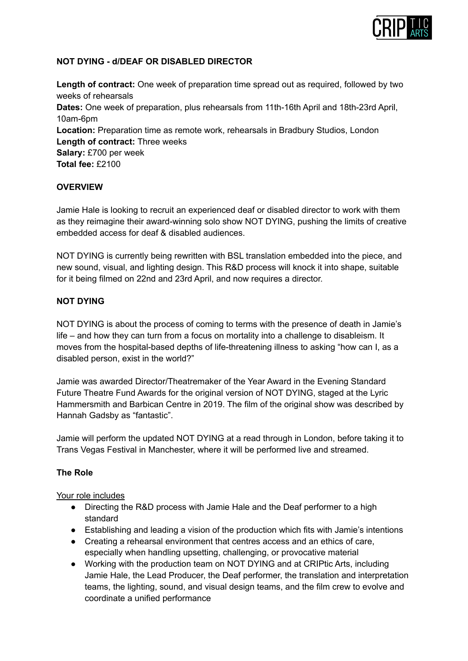

## **NOT DYING - d/DEAF OR DISABLED DIRECTOR**

**Length of contract:** One week of preparation time spread out as required, followed by two weeks of rehearsals **Dates:** One week of preparation, plus rehearsals from 11th-16th April and 18th-23rd April, 10am-6pm **Location:** Preparation time as remote work, rehearsals in Bradbury Studios, London **Length of contract:** Three weeks **Salary:** £700 per week **Total fee:** £2100

# **OVERVIEW**

Jamie Hale is looking to recruit an experienced deaf or disabled director to work with them as they reimagine their award-winning solo show NOT DYING, pushing the limits of creative embedded access for deaf & disabled audiences.

NOT DYING is currently being rewritten with BSL translation embedded into the piece, and new sound, visual, and lighting design. This R&D process will knock it into shape, suitable for it being filmed on 22nd and 23rd April, and now requires a director.

### **NOT DYING**

NOT DYING is about the process of coming to terms with the presence of death in Jamie's life – and how they can turn from a focus on mortality into a challenge to disableism. It moves from the hospital-based depths of life-threatening illness to asking "how can I, as a disabled person, exist in the world?"

Jamie was awarded Director/Theatremaker of the Year Award in the Evening Standard Future Theatre Fund Awards for the original version of NOT DYING, staged at the Lyric Hammersmith and Barbican Centre in 2019. The film of the original show was described by Hannah Gadsby as "fantastic".

Jamie will perform the updated NOT DYING at a read through in London, before taking it to Trans Vegas Festival in Manchester, where it will be performed live and streamed.

### **The Role**

### Your role includes

- Directing the R&D process with Jamie Hale and the Deaf performer to a high standard
- Establishing and leading a vision of the production which fits with Jamie's intentions
- Creating a rehearsal environment that centres access and an ethics of care, especially when handling upsetting, challenging, or provocative material
- Working with the production team on NOT DYING and at CRIPtic Arts, including Jamie Hale, the Lead Producer, the Deaf performer, the translation and interpretation teams, the lighting, sound, and visual design teams, and the film crew to evolve and coordinate a unified performance